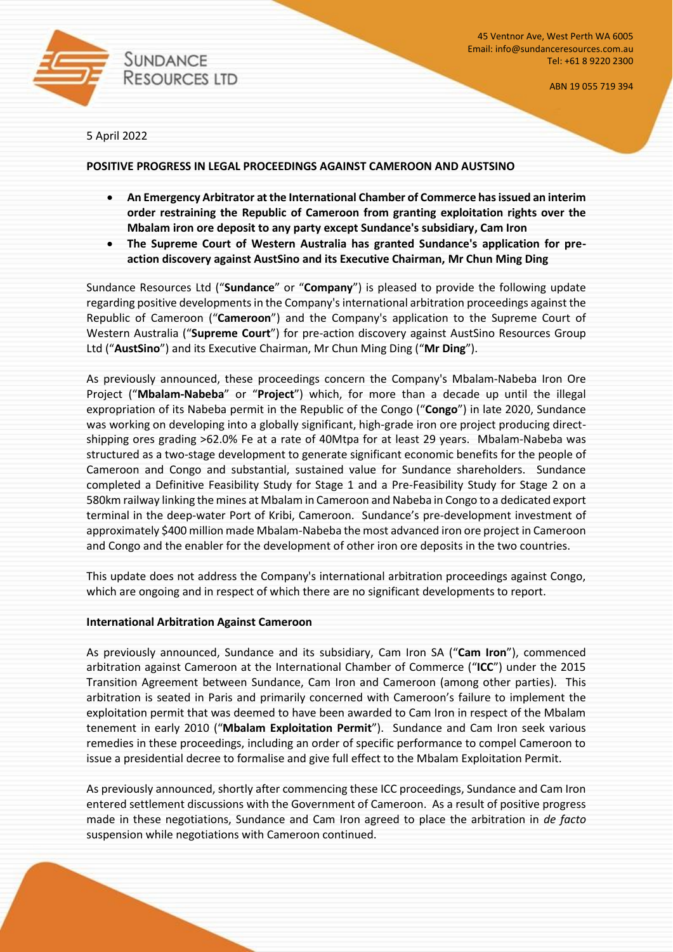

45 Ventnor Ave, West Perth WA 6005 Email: info@sundanceresources.com.au Tel: +61 8 9220 2300

ABN 19 055 719 394

5 April 2022

### **POSITIVE PROGRESS IN LEGAL PROCEEDINGS AGAINST CAMEROON AND AUSTSINO**

- **An Emergency Arbitrator at the International Chamber of Commerce has issued an interim order restraining the Republic of Cameroon from granting exploitation rights over the Mbalam iron ore deposit to any party except Sundance's subsidiary, Cam Iron**
- **The Supreme Court of Western Australia has granted Sundance's application for preaction discovery against AustSino and its Executive Chairman, Mr Chun Ming Ding**

Sundance Resources Ltd ("**Sundance**" or "**Company**") is pleased to provide the following update regarding positive developments in the Company's international arbitration proceedings against the Republic of Cameroon ("**Cameroon**") and the Company's application to the Supreme Court of Western Australia ("**Supreme Court**") for pre-action discovery against AustSino Resources Group Ltd ("**AustSino**") and its Executive Chairman, Mr Chun Ming Ding ("**Mr Ding**").

As previously announced, these proceedings concern the Company's Mbalam-Nabeba Iron Ore Project ("**Mbalam-Nabeba**" or "**Project**") which, for more than a decade up until the illegal expropriation of its Nabeba permit in the Republic of the Congo ("**Congo**") in late 2020, Sundance was working on developing into a globally significant, high-grade iron ore project producing directshipping ores grading >62.0% Fe at a rate of 40Mtpa for at least 29 years. Mbalam-Nabeba was structured as a two-stage development to generate significant economic benefits for the people of Cameroon and Congo and substantial, sustained value for Sundance shareholders. Sundance completed a Definitive Feasibility Study for Stage 1 and a Pre-Feasibility Study for Stage 2 on a 580km railway linking the mines at Mbalam in Cameroon and Nabeba in Congo to a dedicated export terminal in the deep-water Port of Kribi, Cameroon. Sundance's pre-development investment of approximately \$400 million made Mbalam-Nabeba the most advanced iron ore project in Cameroon and Congo and the enabler for the development of other iron ore deposits in the two countries.

This update does not address the Company's international arbitration proceedings against Congo, which are ongoing and in respect of which there are no significant developments to report.

### **International Arbitration Against Cameroon**

As previously announced, Sundance and its subsidiary, Cam Iron SA ("**Cam Iron**"), commenced arbitration against Cameroon at the International Chamber of Commerce ("**ICC**") under the 2015 Transition Agreement between Sundance, Cam Iron and Cameroon (among other parties). This arbitration is seated in Paris and primarily concerned with Cameroon's failure to implement the exploitation permit that was deemed to have been awarded to Cam Iron in respect of the Mbalam tenement in early 2010 ("**Mbalam Exploitation Permit**"). Sundance and Cam Iron seek various remedies in these proceedings, including an order of specific performance to compel Cameroon to issue a presidential decree to formalise and give full effect to the Mbalam Exploitation Permit.

As previously announced, shortly after commencing these ICC proceedings, Sundance and Cam Iron entered settlement discussions with the Government of Cameroon. As a result of positive progress made in these negotiations, Sundance and Cam Iron agreed to place the arbitration in *de facto* suspension while negotiations with Cameroon continued.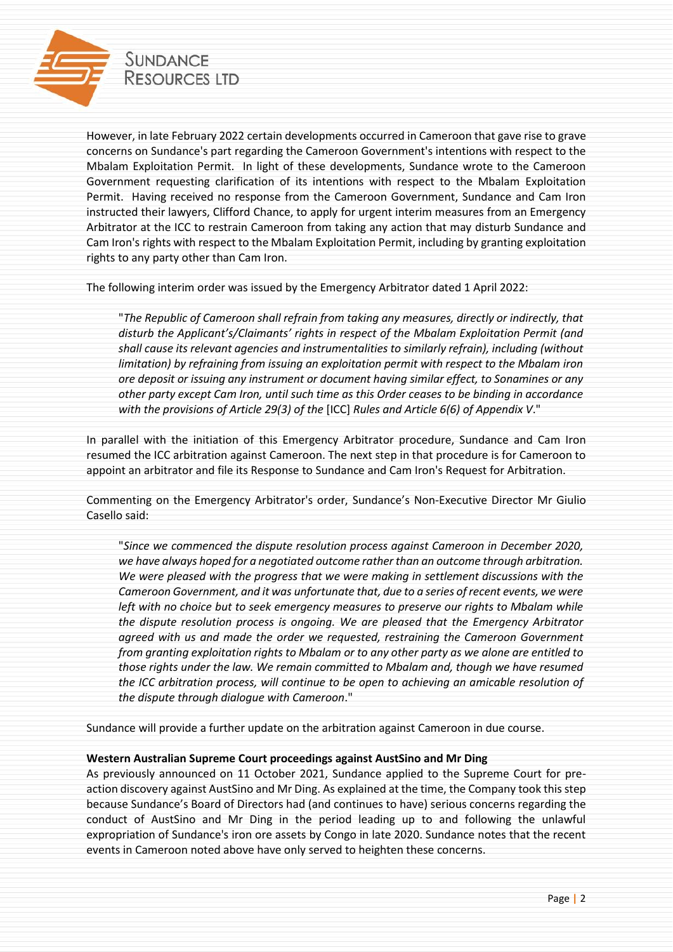

However, in late February 2022 certain developments occurred in Cameroon that gave rise to grave concerns on Sundance's part regarding the Cameroon Government's intentions with respect to the Mbalam Exploitation Permit. In light of these developments, Sundance wrote to the Cameroon Government requesting clarification of its intentions with respect to the Mbalam Exploitation Permit. Having received no response from the Cameroon Government, Sundance and Cam Iron instructed their lawyers, Clifford Chance, to apply for urgent interim measures from an Emergency Arbitrator at the ICC to restrain Cameroon from taking any action that may disturb Sundance and Cam Iron's rights with respect to the Mbalam Exploitation Permit, including by granting exploitation rights to any party other than Cam Iron.

The following interim order was issued by the Emergency Arbitrator dated 1 April 2022:

"*The Republic of Cameroon shall refrain from taking any measures, directly or indirectly, that disturb the Applicant's/Claimants' rights in respect of the Mbalam Exploitation Permit (and shall cause its relevant agencies and instrumentalities to similarly refrain), including (without limitation) by refraining from issuing an exploitation permit with respect to the Mbalam iron ore deposit or issuing any instrument or document having similar effect, to Sonamines or any other party except Cam Iron, until such time as this Order ceases to be binding in accordance with the provisions of Article 29(3) of the* [ICC] *Rules and Article 6(6) of Appendix V*."

In parallel with the initiation of this Emergency Arbitrator procedure, Sundance and Cam Iron resumed the ICC arbitration against Cameroon. The next step in that procedure is for Cameroon to appoint an arbitrator and file its Response to Sundance and Cam Iron's Request for Arbitration.

Commenting on the Emergency Arbitrator's order, Sundance's Non-Executive Director Mr Giulio Casello said:

"*Since we commenced the dispute resolution process against Cameroon in December 2020, we have always hoped for a negotiated outcome rather than an outcome through arbitration. We were pleased with the progress that we were making in settlement discussions with the Cameroon Government, and it was unfortunate that, due to a series of recent events, we were left with no choice but to seek emergency measures to preserve our rights to Mbalam while the dispute resolution process is ongoing. We are pleased that the Emergency Arbitrator agreed with us and made the order we requested, restraining the Cameroon Government from granting exploitation rights to Mbalam or to any other party as we alone are entitled to those rights under the law. We remain committed to Mbalam and, though we have resumed the ICC arbitration process, will continue to be open to achieving an amicable resolution of the dispute through dialogue with Cameroon*."

Sundance will provide a further update on the arbitration against Cameroon in due course.

# **Western Australian Supreme Court proceedings against AustSino and Mr Ding**

As previously announced on 11 October 2021, Sundance applied to the Supreme Court for preaction discovery against AustSino and Mr Ding. As explained at the time, the Company took this step because Sundance's Board of Directors had (and continues to have) serious concerns regarding the conduct of AustSino and Mr Ding in the period leading up to and following the unlawful expropriation of Sundance's iron ore assets by Congo in late 2020. Sundance notes that the recent events in Cameroon noted above have only served to heighten these concerns.